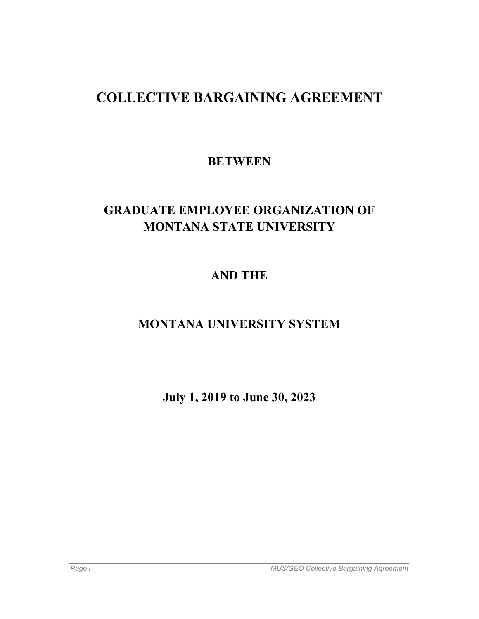# **COLLECTIVE BARGAINING AGREEMENT**

# **BETWEEN**

# **GRADUATE EMPLOYEE ORGANIZATION OF MONTANA STATE UNIVERSITY**

# **AND THE**

# **MONTANA UNIVERSITY SYSTEM**

**July 1, 2019 to June 30, 2023**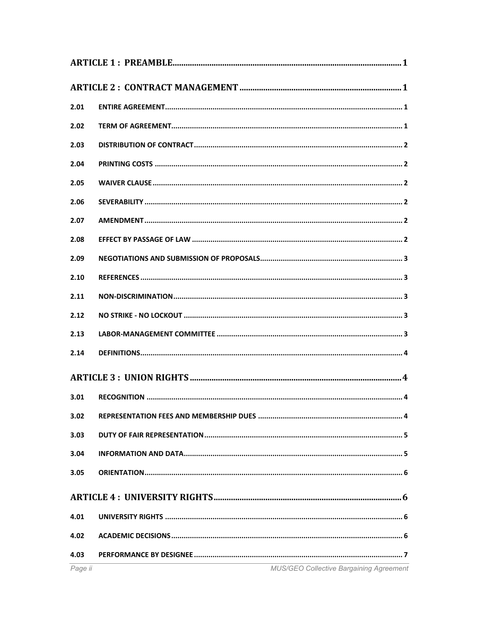| 2.01 |  |  |  |
|------|--|--|--|
| 2.02 |  |  |  |
| 2.03 |  |  |  |
| 2.04 |  |  |  |
| 2.05 |  |  |  |
| 2.06 |  |  |  |
| 2.07 |  |  |  |
| 2.08 |  |  |  |
| 2.09 |  |  |  |
| 2.10 |  |  |  |
| 2.11 |  |  |  |
| 2.12 |  |  |  |
| 2.13 |  |  |  |
| 2.14 |  |  |  |
|      |  |  |  |
| 3.01 |  |  |  |
| 3.02 |  |  |  |
| 3.03 |  |  |  |
| 3.04 |  |  |  |
| 3.05 |  |  |  |
|      |  |  |  |
| 4.01 |  |  |  |
| 4.02 |  |  |  |
| 4.03 |  |  |  |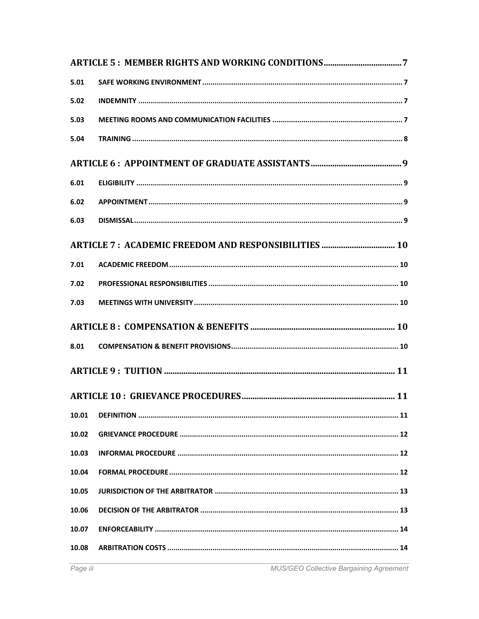| 5.01  |  |  |  |
|-------|--|--|--|
| 5.02  |  |  |  |
| 5.03  |  |  |  |
| 5.04  |  |  |  |
|       |  |  |  |
| 6.01  |  |  |  |
| 6.02  |  |  |  |
| 6.03  |  |  |  |
|       |  |  |  |
| 7.01  |  |  |  |
| 7.02  |  |  |  |
| 7.03  |  |  |  |
|       |  |  |  |
| 8.01  |  |  |  |
|       |  |  |  |
|       |  |  |  |
| 10.01 |  |  |  |
| 10.02 |  |  |  |
| 10.03 |  |  |  |
| 10.04 |  |  |  |
| 10.05 |  |  |  |
| 10.06 |  |  |  |
| 10.07 |  |  |  |
| 10.08 |  |  |  |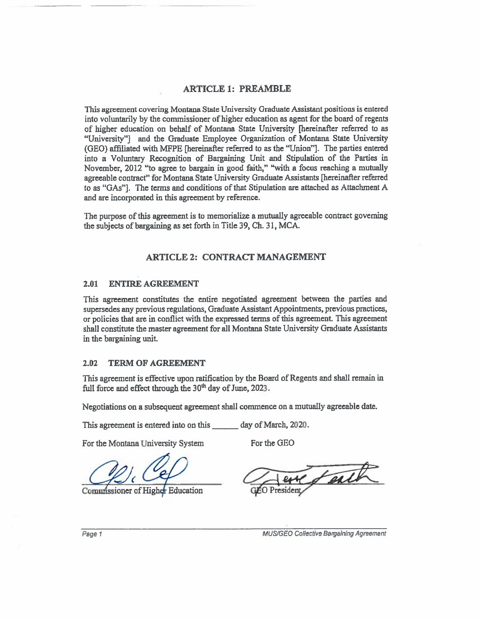#### ARTICLE 1: PREAMBLE

This agreemen<sup>t</sup> covering Montana State University Graduate Assistant positions is entered into voluntarily by the commissioner of higher education as agent for the board of regents of higher education on behalf of Montana State University [hereinafter referred to as "University"] and the Graduate Employee Organization of Montana State University (GEO) affiliated with IvWPE [hereinafter referred to as the "Union"]. The parties entered into <sup>a</sup> Voluntary Recognition of Bargaining Unit and Stipulation of the Parties in November, <sup>2012</sup> "to agree to bargain in goo<sup>d</sup> faith," "with <sup>a</sup> focus reaching <sup>a</sup> mutually agreeable contract" for Montana State University Graduate Assistants [hereinafter referred to as "GAs"]. The terms and conditions of that Stipulation are attached as Attachment A and are incorporated in this agreemen<sup>t</sup> by reference.

The purpose of this agreemen<sup>t</sup> is to memorialize <sup>a</sup> mutually agreeable contract governing the subjects of bargaining as set forth in Title 39, Ch. 31, MCA.

#### ARTICLE 2: CONTRACT MANAGEMENT

#### 2.01 ENTIRE AGREEMENT

This agreemen<sup>t</sup> constitutes the entire negotiated agreemen<sup>t</sup> between the parties and supersedes any previous regulations, Graduate Assistant Appointments, previous practices, or policies that are in conflict with the expresse<sup>d</sup> terms ofthis agreement. This agreemen<sup>t</sup> shall constitute the master agreemen<sup>t</sup> for all Montana State University Graduate Assistants in the bargaining unit

#### 2.02 TERM OF AGREEMENT

This agreement is effective upon ratification by the Board of Regents and shall remain in full force and effect through the  $30<sup>th</sup>$  day of June, 2023.

Negotiations on <sup>a</sup> subsequent agreemen<sup>t</sup> shall commence on <sup>a</sup> mutually agreeable date.

This agreement is entered into on this \_\_\_\_\_\_ day of March, 2020.

For the Montana University System For the GEO

Commissioner of Higher Education

faith

Page 1 MUS/GEO Collective Bargaining Agreement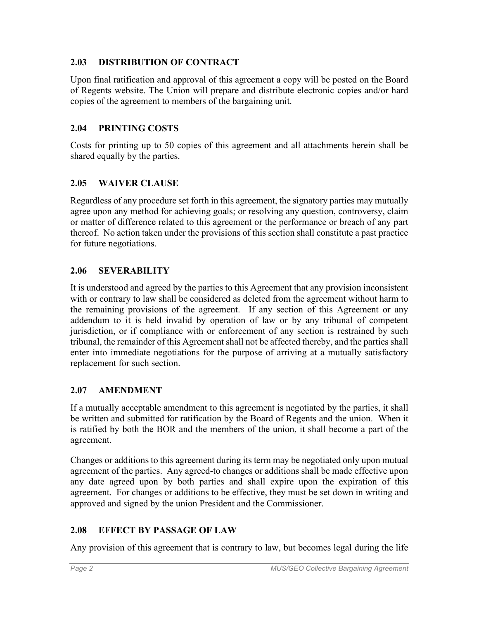### **2.03 DISTRIBUTION OF CONTRACT**

Upon final ratification and approval of this agreement a copy will be posted on the Board of Regents website. The Union will prepare and distribute electronic copies and/or hard copies of the agreement to members of the bargaining unit.

### **2.04 PRINTING COSTS**

Costs for printing up to 50 copies of this agreement and all attachments herein shall be shared equally by the parties.

#### **2.05 WAIVER CLAUSE**

Regardless of any procedure set forth in this agreement, the signatory parties may mutually agree upon any method for achieving goals; or resolving any question, controversy, claim or matter of difference related to this agreement or the performance or breach of any part thereof. No action taken under the provisions of this section shall constitute a past practice for future negotiations.

### **2.06 SEVERABILITY**

It is understood and agreed by the parties to this Agreement that any provision inconsistent with or contrary to law shall be considered as deleted from the agreement without harm to the remaining provisions of the agreement. If any section of this Agreement or any addendum to it is held invalid by operation of law or by any tribunal of competent jurisdiction, or if compliance with or enforcement of any section is restrained by such tribunal, the remainder of this Agreement shall not be affected thereby, and the parties shall enter into immediate negotiations for the purpose of arriving at a mutually satisfactory replacement for such section.

### **2.07 AMENDMENT**

If a mutually acceptable amendment to this agreement is negotiated by the parties, it shall be written and submitted for ratification by the Board of Regents and the union. When it is ratified by both the BOR and the members of the union, it shall become a part of the agreement.

Changes or additions to this agreement during its term may be negotiated only upon mutual agreement of the parties. Any agreed-to changes or additions shall be made effective upon any date agreed upon by both parties and shall expire upon the expiration of this agreement. For changes or additions to be effective, they must be set down in writing and approved and signed by the union President and the Commissioner.

### **2.08 EFFECT BY PASSAGE OF LAW**

Any provision of this agreement that is contrary to law, but becomes legal during the life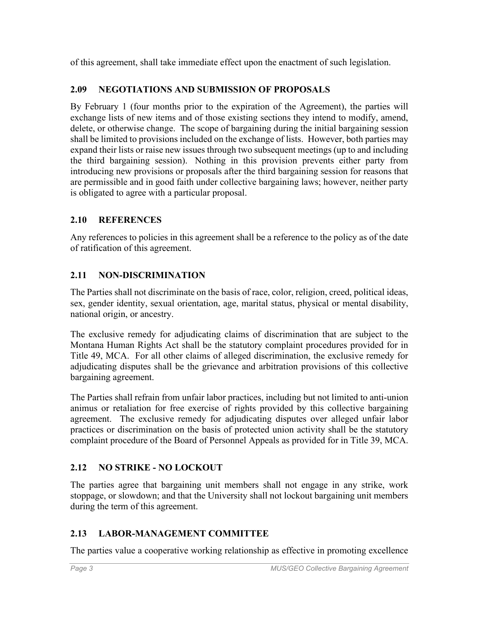of this agreement, shall take immediate effect upon the enactment of such legislation.

## **2.09 NEGOTIATIONS AND SUBMISSION OF PROPOSALS**

By February 1 (four months prior to the expiration of the Agreement), the parties will exchange lists of new items and of those existing sections they intend to modify, amend, delete, or otherwise change. The scope of bargaining during the initial bargaining session shall be limited to provisions included on the exchange of lists. However, both parties may expand their lists or raise new issues through two subsequent meetings (up to and including the third bargaining session). Nothing in this provision prevents either party from introducing new provisions or proposals after the third bargaining session for reasons that are permissible and in good faith under collective bargaining laws; however, neither party is obligated to agree with a particular proposal.

## **2.10 REFERENCES**

Any references to policies in this agreement shall be a reference to the policy as of the date of ratification of this agreement.

# **2.11 NON-DISCRIMINATION**

The Parties shall not discriminate on the basis of race, color, religion, creed, political ideas, sex, gender identity, sexual orientation, age, marital status, physical or mental disability, national origin, or ancestry.

The exclusive remedy for adjudicating claims of discrimination that are subject to the Montana Human Rights Act shall be the statutory complaint procedures provided for in Title 49, MCA. For all other claims of alleged discrimination, the exclusive remedy for adjudicating disputes shall be the grievance and arbitration provisions of this collective bargaining agreement.

The Parties shall refrain from unfair labor practices, including but not limited to anti-union animus or retaliation for free exercise of rights provided by this collective bargaining agreement. The exclusive remedy for adjudicating disputes over alleged unfair labor practices or discrimination on the basis of protected union activity shall be the statutory complaint procedure of the Board of Personnel Appeals as provided for in Title 39, MCA.

# **2.12 NO STRIKE - NO LOCKOUT**

The parties agree that bargaining unit members shall not engage in any strike, work stoppage, or slowdown; and that the University shall not lockout bargaining unit members during the term of this agreement.

# **2.13 LABOR-MANAGEMENT COMMITTEE**

The parties value a cooperative working relationship as effective in promoting excellence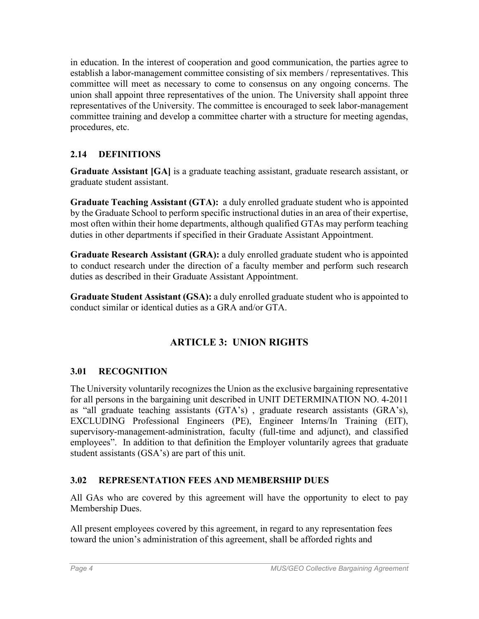in education. In the interest of cooperation and good communication, the parties agree to establish a labor-management committee consisting of six members / representatives. This committee will meet as necessary to come to consensus on any ongoing concerns. The union shall appoint three representatives of the union. The University shall appoint three representatives of the University. The committee is encouraged to seek labor-management committee training and develop a committee charter with a structure for meeting agendas, procedures, etc.

### **2.14 DEFINITIONS**

**Graduate Assistant [GA]** is a graduate teaching assistant, graduate research assistant, or graduate student assistant.

**Graduate Teaching Assistant (GTA):** a duly enrolled graduate student who is appointed by the Graduate School to perform specific instructional duties in an area of their expertise, most often within their home departments, although qualified GTAs may perform teaching duties in other departments if specified in their Graduate Assistant Appointment.

**Graduate Research Assistant (GRA):** a duly enrolled graduate student who is appointed to conduct research under the direction of a faculty member and perform such research duties as described in their Graduate Assistant Appointment.

**Graduate Student Assistant (GSA):** a duly enrolled graduate student who is appointed to conduct similar or identical duties as a GRA and/or GTA.

# **ARTICLE 3: UNION RIGHTS**

### <span id="page-7-0"></span>**3.01 RECOGNITION**

The University voluntarily recognizes the Union as the exclusive bargaining representative for all persons in the bargaining unit described in UNIT DETERMINATION NO. 4-2011 as "all graduate teaching assistants (GTA's) , graduate research assistants (GRA's), EXCLUDING Professional Engineers (PE), Engineer Interns/In Training (EIT), supervisory-management-administration, faculty (full-time and adjunct), and classified employees". In addition to that definition the Employer voluntarily agrees that graduate student assistants (GSA's) are part of this unit.

### **3.02 REPRESENTATION FEES AND MEMBERSHIP DUES**

All GAs who are covered by this agreement will have the opportunity to elect to pay Membership Dues.

All present employees covered by this agreement, in regard to any representation fees toward the union's administration of this agreement, shall be afforded rights and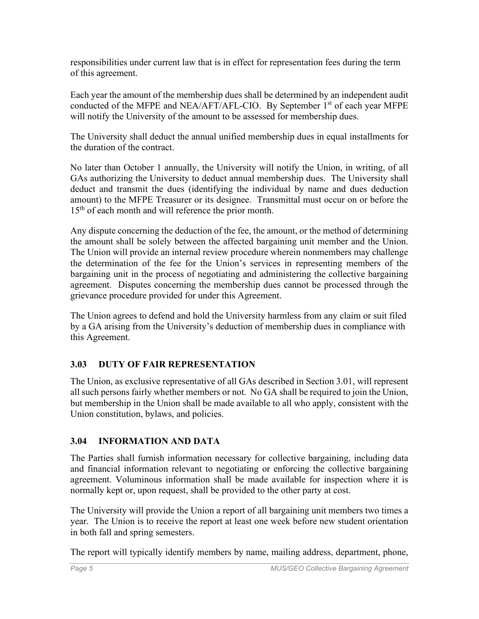responsibilities under current law that is in effect for representation fees during the term of this agreement.

Each year the amount of the membership dues shall be determined by an independent audit conducted of the MFPE and NEA/AFT/AFL-CIO. By September  $1<sup>st</sup>$  of each year MFPE will notify the University of the amount to be assessed for membership dues.

The University shall deduct the annual unified membership dues in equal installments for the duration of the contract.

No later than October 1 annually, the University will notify the Union, in writing, of all GAs authorizing the University to deduct annual membership dues. The University shall deduct and transmit the dues (identifying the individual by name and dues deduction amount) to the MFPE Treasurer or its designee. Transmittal must occur on or before the 15<sup>th</sup> of each month and will reference the prior month.

Any dispute concerning the deduction of the fee, the amount, or the method of determining the amount shall be solely between the affected bargaining unit member and the Union. The Union will provide an internal review procedure wherein nonmembers may challenge the determination of the fee for the Union's services in representing members of the bargaining unit in the process of negotiating and administering the collective bargaining agreement. Disputes concerning the membership dues cannot be processed through the grievance procedure provided for under this Agreement.

The Union agrees to defend and hold the University harmless from any claim or suit filed by a GA arising from the University's deduction of membership dues in compliance with this Agreement.

# **3.03 DUTY OF FAIR REPRESENTATION**

The Union, as exclusive representative of all GAs described in Section [3.01,](#page-7-0) will represent all such persons fairly whether members or not. No GA shall be required to join the Union, but membership in the Union shall be made available to all who apply, consistent with the Union constitution, bylaws, and policies.

### **3.04 INFORMATION AND DATA**

The Parties shall furnish information necessary for collective bargaining, including data and financial information relevant to negotiating or enforcing the collective bargaining agreement. Voluminous information shall be made available for inspection where it is normally kept or, upon request, shall be provided to the other party at cost.

The University will provide the Union a report of all bargaining unit members two times a year. The Union is to receive the report at least one week before new student orientation in both fall and spring semesters.

The report will typically identify members by name, mailing address, department, phone,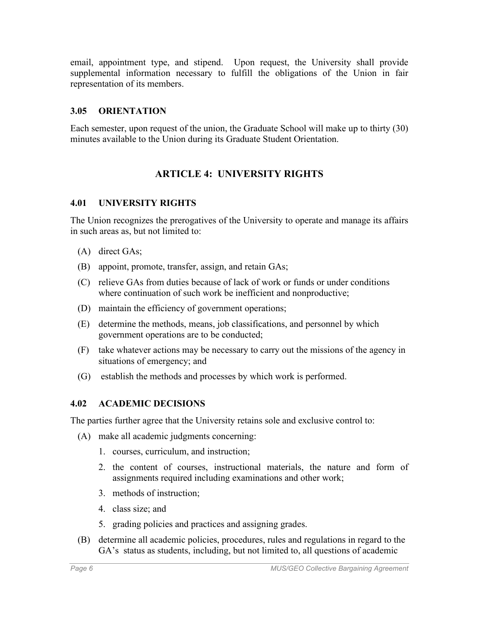email, appointment type, and stipend. Upon request, the University shall provide supplemental information necessary to fulfill the obligations of the Union in fair representation of its members.

#### **3.05 ORIENTATION**

Each semester, upon request of the union, the Graduate School will make up to thirty (30) minutes available to the Union during its Graduate Student Orientation.

### **ARTICLE 4: UNIVERSITY RIGHTS**

#### **4.01 UNIVERSITY RIGHTS**

The Union recognizes the prerogatives of the University to operate and manage its affairs in such areas as, but not limited to:

- (A) direct GAs;
- (B) appoint, promote, transfer, assign, and retain GAs;
- (C) relieve GAs from duties because of lack of work or funds or under conditions where continuation of such work be inefficient and nonproductive;
- (D) maintain the efficiency of government operations;
- (E) determine the methods, means, job classifications, and personnel by which government operations are to be conducted;
- (F) take whatever actions may be necessary to carry out the missions of the agency in situations of emergency; and
- (G) establish the methods and processes by which work is performed.

#### **4.02 ACADEMIC DECISIONS**

The parties further agree that the University retains sole and exclusive control to:

- (A) make all academic judgments concerning:
	- 1. courses, curriculum, and instruction;
	- 2. the content of courses, instructional materials, the nature and form of assignments required including examinations and other work;
	- 3. methods of instruction;
	- 4. class size; and
	- 5. grading policies and practices and assigning grades.
- (B) determine all academic policies, procedures, rules and regulations in regard to the GA's status as students, including, but not limited to, all questions of academic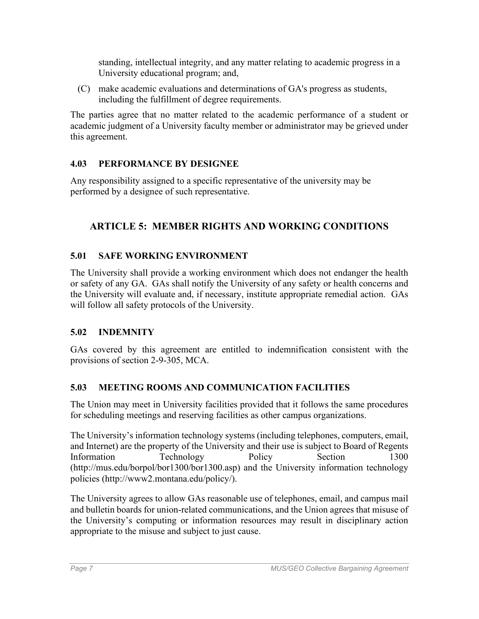standing, intellectual integrity, and any matter relating to academic progress in a University educational program; and,

(C) make academic evaluations and determinations of GA's progress as students, including the fulfillment of degree requirements.

The parties agree that no matter related to the academic performance of a student or academic judgment of a University faculty member or administrator may be grieved under this agreement.

## **4.03 PERFORMANCE BY DESIGNEE**

Any responsibility assigned to a specific representative of the university may be performed by a designee of such representative.

# **ARTICLE 5: MEMBER RIGHTS AND WORKING CONDITIONS**

# **5.01 SAFE WORKING ENVIRONMENT**

The University shall provide a working environment which does not endanger the health or safety of any GA. GAs shall notify the University of any safety or health concerns and the University will evaluate and, if necessary, institute appropriate remedial action. GAs will follow all safety protocols of the University.

### **5.02 INDEMNITY**

GAs covered by this agreement are entitled to indemnification consistent with the provisions of section 2-9-305, MCA.

### **5.03 MEETING ROOMS AND COMMUNICATION FACILITIES**

The Union may meet in University facilities provided that it follows the same procedures for scheduling meetings and reserving facilities as other campus organizations.

The University's information technology systems (including telephones, computers, email, and Internet) are the property of the University and their use is subject to Board of Regents Information Technology Policy Section 1300 (http://mus.edu/borpol/bor1300/bor1300.asp) and the University information technology policies (http://www2.montana.edu/policy/).

The University agrees to allow GAs reasonable use of telephones, email, and campus mail and bulletin boards for union-related communications, and the Union agrees that misuse of the University's computing or information resources may result in disciplinary action appropriate to the misuse and subject to just cause.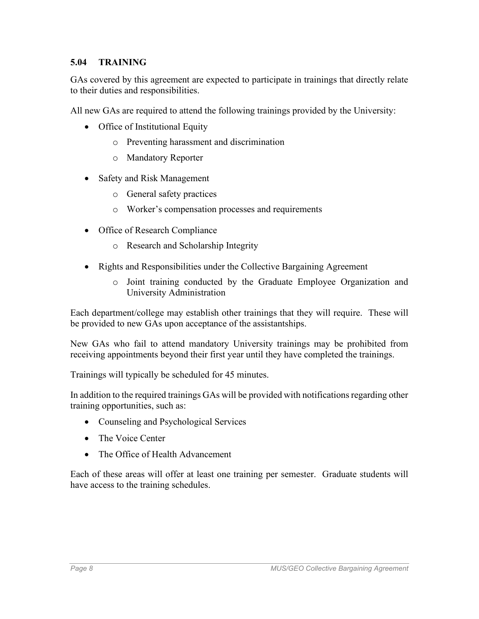#### **5.04 TRAINING**

GAs covered by this agreement are expected to participate in trainings that directly relate to their duties and responsibilities.

All new GAs are required to attend the following trainings provided by the University:

- Office of Institutional Equity
	- o Preventing harassment and discrimination
	- o Mandatory Reporter
- Safety and Risk Management
	- o General safety practices
	- o Worker's compensation processes and requirements
- Office of Research Compliance
	- o Research and Scholarship Integrity
- Rights and Responsibilities under the Collective Bargaining Agreement
	- o Joint training conducted by the Graduate Employee Organization and University Administration

Each department/college may establish other trainings that they will require. These will be provided to new GAs upon acceptance of the assistantships.

New GAs who fail to attend mandatory University trainings may be prohibited from receiving appointments beyond their first year until they have completed the trainings.

Trainings will typically be scheduled for 45 minutes.

In addition to the required trainings GAs will be provided with notifications regarding other training opportunities, such as:

- Counseling and Psychological Services
- The Voice Center
- The Office of Health Advancement

Each of these areas will offer at least one training per semester. Graduate students will have access to the training schedules.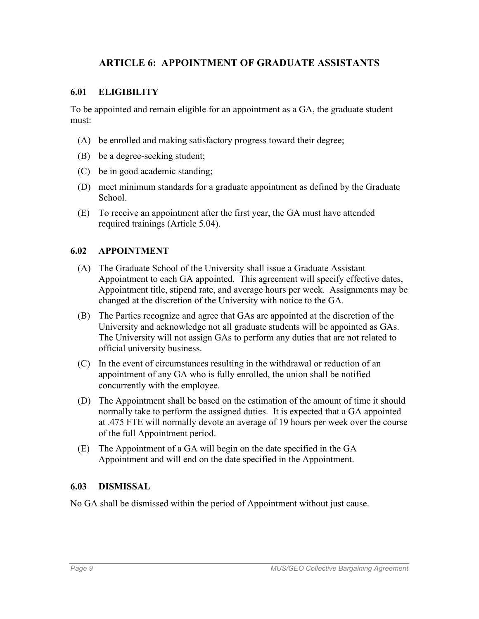### **ARTICLE 6: APPOINTMENT OF GRADUATE ASSISTANTS**

#### **6.01 ELIGIBILITY**

To be appointed and remain eligible for an appointment as a GA, the graduate student must:

- (A) be enrolled and making satisfactory progress toward their degree;
- (B) be a degree-seeking student;
- (C) be in good academic standing;
- (D) meet minimum standards for a graduate appointment as defined by the Graduate School.
- (E) To receive an appointment after the first year, the GA must have attended required trainings (Article 5.04).

#### **6.02 APPOINTMENT**

- (A) The Graduate School of the University shall issue a Graduate Assistant Appointment to each GA appointed. This agreement will specify effective dates, Appointment title, stipend rate, and average hours per week. Assignments may be changed at the discretion of the University with notice to the GA.
- (B) The Parties recognize and agree that GAs are appointed at the discretion of the University and acknowledge not all graduate students will be appointed as GAs. The University will not assign GAs to perform any duties that are not related to official university business.
- (C) In the event of circumstances resulting in the withdrawal or reduction of an appointment of any GA who is fully enrolled, the union shall be notified concurrently with the employee.
- (D) The Appointment shall be based on the estimation of the amount of time it should normally take to perform the assigned duties. It is expected that a GA appointed at .475 FTE will normally devote an average of 19 hours per week over the course of the full Appointment period.
- (E) The Appointment of a GA will begin on the date specified in the GA Appointment and will end on the date specified in the Appointment.

#### **6.03 DISMISSAL**

No GA shall be dismissed within the period of Appointment without just cause.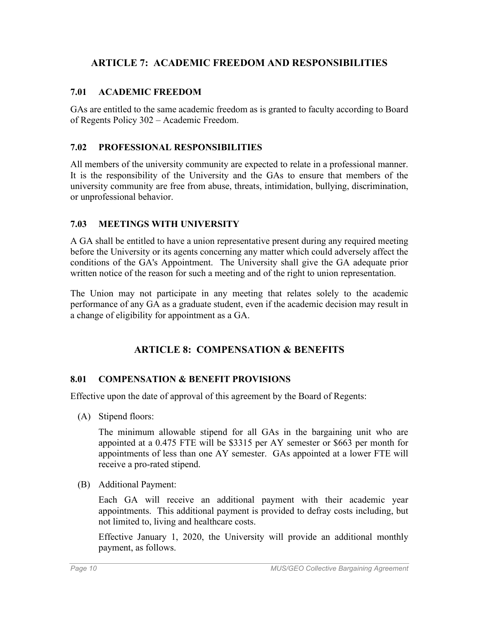## **ARTICLE 7: ACADEMIC FREEDOM AND RESPONSIBILITIES**

#### **7.01 ACADEMIC FREEDOM**

GAs are entitled to the same academic freedom as is granted to faculty according to Board of Regents Policy 302 – Academic Freedom.

#### **7.02 PROFESSIONAL RESPONSIBILITIES**

All members of the university community are expected to relate in a professional manner. It is the responsibility of the University and the GAs to ensure that members of the university community are free from abuse, threats, intimidation, bullying, discrimination, or unprofessional behavior.

#### **7.03 MEETINGS WITH UNIVERSITY**

A GA shall be entitled to have a union representative present during any required meeting before the University or its agents concerning any matter which could adversely affect the conditions of the GA's Appointment. The University shall give the GA adequate prior written notice of the reason for such a meeting and of the right to union representation.

The Union may not participate in any meeting that relates solely to the academic performance of any GA as a graduate student, even if the academic decision may result in a change of eligibility for appointment as a GA.

### **ARTICLE 8: COMPENSATION & BENEFITS**

#### **8.01 COMPENSATION & BENEFIT PROVISIONS**

Effective upon the date of approval of this agreement by the Board of Regents:

(A) Stipend floors:

The minimum allowable stipend for all GAs in the bargaining unit who are appointed at a 0.475 FTE will be \$3315 per AY semester or \$663 per month for appointments of less than one AY semester. GAs appointed at a lower FTE will receive a pro-rated stipend.

(B) Additional Payment:

Each GA will receive an additional payment with their academic year appointments. This additional payment is provided to defray costs including, but not limited to, living and healthcare costs.

Effective January 1, 2020, the University will provide an additional monthly payment, as follows.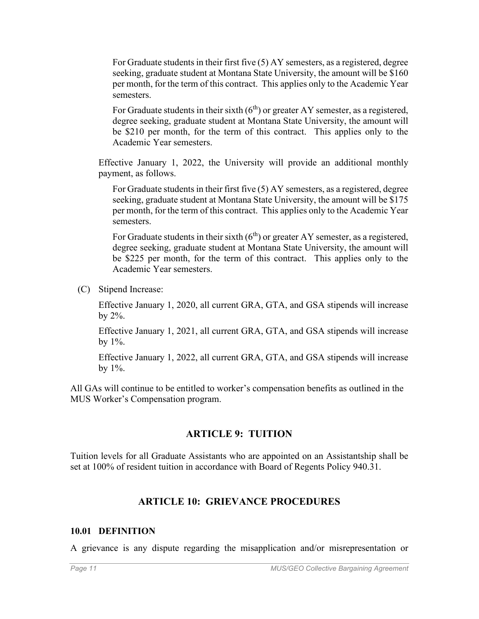For Graduate students in their first five (5) AY semesters, as a registered, degree seeking, graduate student at Montana State University, the amount will be \$160 per month, for the term of this contract. This applies only to the Academic Year semesters.

For Graduate students in their sixth  $(6<sup>th</sup>)$  or greater AY semester, as a registered, degree seeking, graduate student at Montana State University, the amount will be \$210 per month, for the term of this contract. This applies only to the Academic Year semesters.

Effective January 1, 2022, the University will provide an additional monthly payment, as follows.

For Graduate students in their first five (5) AY semesters, as a registered, degree seeking, graduate student at Montana State University, the amount will be \$175 per month, for the term of this contract. This applies only to the Academic Year semesters.

For Graduate students in their sixth  $(6<sup>th</sup>)$  or greater AY semester, as a registered, degree seeking, graduate student at Montana State University, the amount will be \$225 per month, for the term of this contract. This applies only to the Academic Year semesters.

(C) Stipend Increase:

Effective January 1, 2020, all current GRA, GTA, and GSA stipends will increase by 2%.

Effective January 1, 2021, all current GRA, GTA, and GSA stipends will increase by  $1\%$ .

Effective January 1, 2022, all current GRA, GTA, and GSA stipends will increase by  $1\%$ .

All GAs will continue to be entitled to worker's compensation benefits as outlined in the MUS Worker's Compensation program.

### **ARTICLE 9: TUITION**

Tuition levels for all Graduate Assistants who are appointed on an Assistantship shall be set at 100% of resident tuition in accordance with Board of Regents Policy 940.31.

### **ARTICLE 10: GRIEVANCE PROCEDURES**

#### **10.01 DEFINITION**

A grievance is any dispute regarding the misapplication and/or misrepresentation or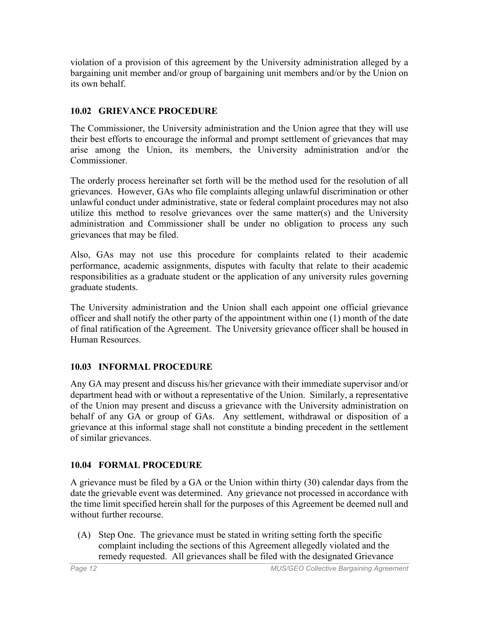violation of a provision of this agreement by the University administration alleged by a bargaining unit member and/or group of bargaining unit members and/or by the Union on its own behalf.

# **10.02 GRIEVANCE PROCEDURE**

The Commissioner, the University administration and the Union agree that they will use their best efforts to encourage the informal and prompt settlement of grievances that may arise among the Union, its members, the University administration and/or the Commissioner.

The orderly process hereinafter set forth will be the method used for the resolution of all grievances. However, GAs who file complaints alleging unlawful discrimination or other unlawful conduct under administrative, state or federal complaint procedures may not also utilize this method to resolve grievances over the same matter(s) and the University administration and Commissioner shall be under no obligation to process any such grievances that may be filed.

Also, GAs may not use this procedure for complaints related to their academic performance, academic assignments, disputes with faculty that relate to their academic responsibilities as a graduate student or the application of any university rules governing graduate students.

The University administration and the Union shall each appoint one official grievance officer and shall notify the other party of the appointment within one (1) month of the date of final ratification of the Agreement. The University grievance officer shall be housed in Human Resources.

# **10.03 INFORMAL PROCEDURE**

Any GA may present and discuss his/her grievance with their immediate supervisor and/or department head with or without a representative of the Union. Similarly, a representative of the Union may present and discuss a grievance with the University administration on behalf of any GA or group of GAs. Any settlement, withdrawal or disposition of a grievance at this informal stage shall not constitute a binding precedent in the settlement of similar grievances.

# **10.04 FORMAL PROCEDURE**

A grievance must be filed by a GA or the Union within thirty (30) calendar days from the date the grievable event was determined. Any grievance not processed in accordance with the time limit specified herein shall for the purposes of this Agreement be deemed null and without further recourse.

(A) Step One. The grievance must be stated in writing setting forth the specific complaint including the sections of this Agreement allegedly violated and the remedy requested. All grievances shall be filed with the designated Grievance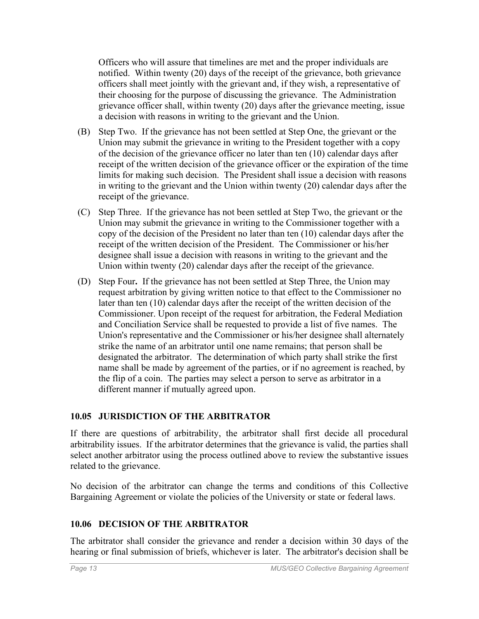Officers who will assure that timelines are met and the proper individuals are notified. Within twenty (20) days of the receipt of the grievance, both grievance officers shall meet jointly with the grievant and, if they wish, a representative of their choosing for the purpose of discussing the grievance. The Administration grievance officer shall, within twenty (20) days after the grievance meeting, issue a decision with reasons in writing to the grievant and the Union.

- (B) Step Two. If the grievance has not been settled at Step One, the grievant or the Union may submit the grievance in writing to the President together with a copy of the decision of the grievance officer no later than ten (10) calendar days after receipt of the written decision of the grievance officer or the expiration of the time limits for making such decision. The President shall issue a decision with reasons in writing to the grievant and the Union within twenty (20) calendar days after the receipt of the grievance.
- (C) Step Three. If the grievance has not been settled at Step Two, the grievant or the Union may submit the grievance in writing to the Commissioner together with a copy of the decision of the President no later than ten (10) calendar days after the receipt of the written decision of the President. The Commissioner or his/her designee shall issue a decision with reasons in writing to the grievant and the Union within twenty (20) calendar days after the receipt of the grievance.
- (D) Step Four**.** If the grievance has not been settled at Step Three, the Union may request arbitration by giving written notice to that effect to the Commissioner no later than ten (10) calendar days after the receipt of the written decision of the Commissioner. Upon receipt of the request for arbitration, the Federal Mediation and Conciliation Service shall be requested to provide a list of five names. The Union's representative and the Commissioner or his/her designee shall alternately strike the name of an arbitrator until one name remains; that person shall be designated the arbitrator. The determination of which party shall strike the first name shall be made by agreement of the parties, or if no agreement is reached, by the flip of a coin. The parties may select a person to serve as arbitrator in a different manner if mutually agreed upon.

### **10.05 JURISDICTION OF THE ARBITRATOR**

If there are questions of arbitrability, the arbitrator shall first decide all procedural arbitrability issues. If the arbitrator determines that the grievance is valid, the parties shall select another arbitrator using the process outlined above to review the substantive issues related to the grievance.

No decision of the arbitrator can change the terms and conditions of this Collective Bargaining Agreement or violate the policies of the University or state or federal laws.

# **10.06 DECISION OF THE ARBITRATOR**

The arbitrator shall consider the grievance and render a decision within 30 days of the hearing or final submission of briefs, whichever is later. The arbitrator's decision shall be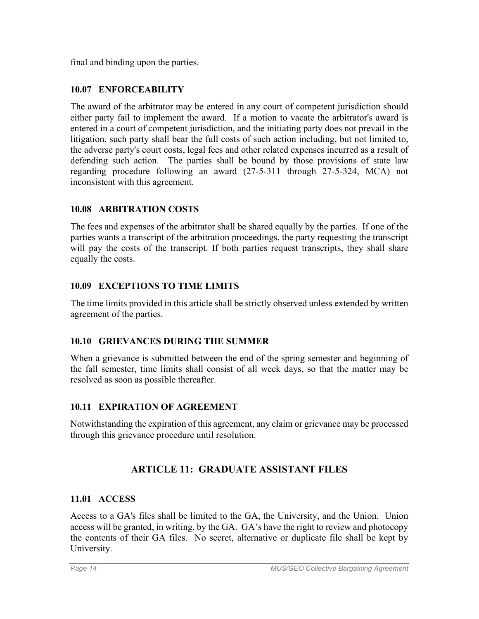final and binding upon the parties.

### **10.07 ENFORCEABILITY**

The award of the arbitrator may be entered in any court of competent jurisdiction should either party fail to implement the award. If a motion to vacate the arbitrator's award is entered in a court of competent jurisdiction, and the initiating party does not prevail in the litigation, such party shall bear the full costs of such action including, but not limited to, the adverse party's court costs, legal fees and other related expenses incurred as a result of defending such action. The parties shall be bound by those provisions of state law regarding procedure following an award (27-5-311 through 27-5-324, MCA) not inconsistent with this agreement.

### **10.08 ARBITRATION COSTS**

The fees and expenses of the arbitrator shall be shared equally by the parties. If one of the parties wants a transcript of the arbitration proceedings, the party requesting the transcript will pay the costs of the transcript. If both parties request transcripts, they shall share equally the costs.

### **10.09 EXCEPTIONS TO TIME LIMITS**

The time limits provided in this article shall be strictly observed unless extended by written agreement of the parties.

### **10.10 GRIEVANCES DURING THE SUMMER**

When a grievance is submitted between the end of the spring semester and beginning of the fall semester, time limits shall consist of all week days, so that the matter may be resolved as soon as possible thereafter.

# **10.11 EXPIRATION OF AGREEMENT**

Notwithstanding the expiration of this agreement, any claim or grievance may be processed through this grievance procedure until resolution.

# **ARTICLE 11: GRADUATE ASSISTANT FILES**

### **11.01 ACCESS**

Access to a GA's files shall be limited to the GA, the University, and the Union. Union access will be granted, in writing, by the GA. GA's have the right to review and photocopy the contents of their GA files. No secret, alternative or duplicate file shall be kept by University.